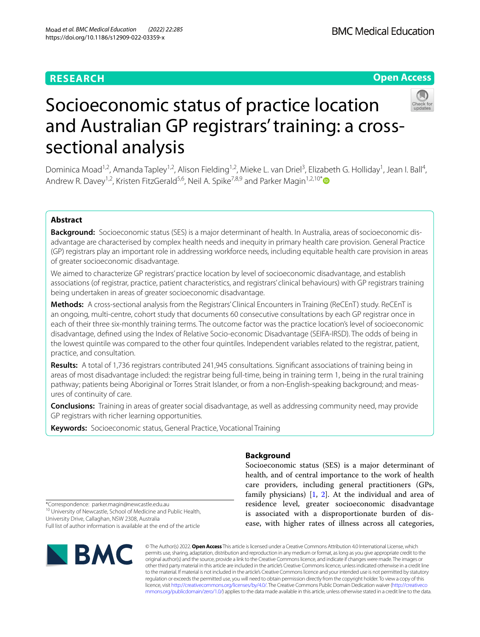# **RESEARCH**

# **Open Access**



# Socioeconomic status of practice location and Australian GP registrars' training: a crosssectional analysis

Dominica Moad<sup>1,2</sup>, Amanda Tapley<sup>1,2</sup>, Alison Fielding<sup>1,2</sup>, Mieke L. van Driel<sup>3</sup>, Elizabeth G. Holliday<sup>1</sup>, Jean I. Ball<sup>4</sup>, Andrew R. Davey<sup>1,2</sup>, Kristen FitzGerald<sup>5,6</sup>, Neil A. Spike<sup>7,8,9</sup> and Parker Magin<sup>1,2,10[\\*](https://orcid.org/0000-0001-8071-8749)</sup>

# **Abstract**

**Background:** Socioeconomic status (SES) is a major determinant of health. In Australia, areas of socioeconomic disadvantage are characterised by complex health needs and inequity in primary health care provision. General Practice (GP) registrars play an important role in addressing workforce needs, including equitable health care provision in areas of greater socioeconomic disadvantage.

We aimed to characterize GP registrars' practice location by level of socioeconomic disadvantage, and establish associations (of registrar, practice, patient characteristics, and registrars' clinical behaviours) with GP registrars training being undertaken in areas of greater socioeconomic disadvantage.

**Methods:** A cross-sectional analysis from the Registrars' Clinical Encounters in Training (ReCEnT) study. ReCEnT is an ongoing, multi-centre, cohort study that documents 60 consecutive consultations by each GP registrar once in each of their three six-monthly training terms. The outcome factor was the practice location's level of socioeconomic disadvantage, defned using the Index of Relative Socio-economic Disadvantage (SEIFA-IRSD). The odds of being in the lowest quintile was compared to the other four quintiles. Independent variables related to the registrar, patient, practice, and consultation.

**Results:** A total of 1,736 registrars contributed 241,945 consultations. Signifcant associations of training being in areas of most disadvantage included: the registrar being full-time, being in training term 1, being in the rural training pathway; patients being Aboriginal or Torres Strait Islander, or from a non-English-speaking background; and measures of continuity of care.

**Conclusions:** Training in areas of greater social disadvantage, as well as addressing community need, may provide GP registrars with richer learning opportunities.

**Keywords:** Socioeconomic status, General Practice, Vocational Training

# **Background**

Socioeconomic status (SES) is a major determinant of health, and of central importance to the work of health care providers, including general practitioners (GPs, family physicians)  $[1, 2]$  $[1, 2]$  $[1, 2]$ . At the individual and area of residence level, greater socioeconomic disadvantage is associated with a disproportionate burden of disease, with higher rates of illness across all categories,

\*Correspondence: parker.magin@newcastle.edu.au <sup>10</sup> University of Newcastle, School of Medicine and Public Health, University Drive, Callaghan, NSW 2308, Australia Full list of author information is available at the end of the article



© The Author(s) 2022. **Open Access** This article is licensed under a Creative Commons Attribution 4.0 International License, which permits use, sharing, adaptation, distribution and reproduction in any medium or format, as long as you give appropriate credit to the original author(s) and the source, provide a link to the Creative Commons licence, and indicate if changes were made. The images or other third party material in this article are included in the article's Creative Commons licence, unless indicated otherwise in a credit line to the material. If material is not included in the article's Creative Commons licence and your intended use is not permitted by statutory regulation or exceeds the permitted use, you will need to obtain permission directly from the copyright holder. To view a copy of this licence, visit [http://creativecommons.org/licenses/by/4.0/.](http://creativecommons.org/licenses/by/4.0/) The Creative Commons Public Domain Dedication waiver ([http://creativeco](http://creativecommons.org/publicdomain/zero/1.0/) [mmons.org/publicdomain/zero/1.0/](http://creativecommons.org/publicdomain/zero/1.0/)) applies to the data made available in this article, unless otherwise stated in a credit line to the data.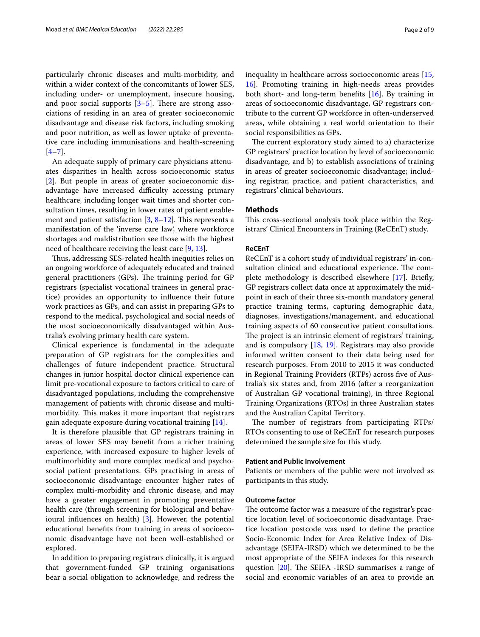particularly chronic diseases and multi-morbidity, and within a wider context of the concomitants of lower SES, including under- or unemployment, insecure housing, and poor social supports  $[3-5]$  $[3-5]$ . There are strong associations of residing in an area of greater socioeconomic disadvantage and disease risk factors, including smoking and poor nutrition, as well as lower uptake of preventative care including immunisations and health-screening  $[4-7]$  $[4-7]$ .

An adequate supply of primary care physicians attenuates disparities in health across socioeconomic status [[2\]](#page-8-1). But people in areas of greater socioeconomic disadvantage have increased difficulty accessing primary healthcare, including longer wait times and shorter consultation times, resulting in lower rates of patient enablement and patient satisfaction  $[3, 8-12]$  $[3, 8-12]$  $[3, 8-12]$ . This represents a manifestation of the 'inverse care law', where workforce shortages and maldistribution see those with the highest need of healthcare receiving the least care [[9,](#page-8-8) [13](#page-8-9)].

Thus, addressing SES-related health inequities relies on an ongoing workforce of adequately educated and trained general practitioners (GPs). The training period for GP registrars (specialist vocational trainees in general practice) provides an opportunity to infuence their future work practices as GPs, and can assist in preparing GPs to respond to the medical, psychological and social needs of the most socioeconomically disadvantaged within Australia's evolving primary health care system.

Clinical experience is fundamental in the adequate preparation of GP registrars for the complexities and challenges of future independent practice. Structural changes in junior hospital doctor clinical experience can limit pre-vocational exposure to factors critical to care of disadvantaged populations, including the comprehensive management of patients with chronic disease and multimorbidity. This makes it more important that registrars gain adequate exposure during vocational training [[14\]](#page-8-10).

It is therefore plausible that GP registrars training in areas of lower SES may beneft from a richer training experience, with increased exposure to higher levels of multimorbidity and more complex medical and psychosocial patient presentations. GPs practising in areas of socioeconomic disadvantage encounter higher rates of complex multi-morbidity and chronic disease, and may have a greater engagement in promoting preventative health care (through screening for biological and behavioural infuences on health) [\[3](#page-8-2)]. However, the potential educational benefts from training in areas of socioeconomic disadvantage have not been well-established or explored.

In addition to preparing registrars clinically, it is argued that government-funded GP training organisations bear a social obligation to acknowledge, and redress the inequality in healthcare across socioeconomic areas [[15](#page-8-11), [16\]](#page-8-12). Promoting training in high-needs areas provides both short- and long-term benefts [\[16](#page-8-12)]. By training in areas of socioeconomic disadvantage, GP registrars contribute to the current GP workforce in often-underserved areas, while obtaining a real world orientation to their social responsibilities as GPs.

The current exploratory study aimed to a) characterize GP registrars' practice location by level of socioeconomic disadvantage, and b) to establish associations of training in areas of greater socioeconomic disadvantage; including registrar, practice, and patient characteristics, and registrars' clinical behaviours.

# **Methods**

This cross-sectional analysis took place within the Registrars' Clinical Encounters in Training (ReCEnT) study.

## **ReCEnT**

ReCEnT is a cohort study of individual registrars' in-consultation clinical and educational experience. The complete methodology is described elsewhere [[17](#page-8-13)]. Briefy, GP registrars collect data once at approximately the midpoint in each of their three six-month mandatory general practice training terms, capturing demographic data, diagnoses, investigations/management, and educational training aspects of 60 consecutive patient consultations. The project is an intrinsic element of registrars' training, and is compulsory [[18](#page-8-14), [19\]](#page-8-15). Registrars may also provide informed written consent to their data being used for research purposes. From 2010 to 2015 it was conducted in Regional Training Providers (RTPs) across fve of Australia's six states and, from 2016 (after a reorganization of Australian GP vocational training), in three Regional Training Organizations (RTOs) in three Australian states and the Australian Capital Territory.

The number of registrars from participating RTPs/ RTOs consenting to use of ReCEnT for research purposes determined the sample size for this study.

## **Patient and Public Involvement**

Patients or members of the public were not involved as participants in this study.

# **Outcome factor**

The outcome factor was a measure of the registrar's practice location level of socioeconomic disadvantage. Practice location postcode was used to defne the practice Socio-Economic Index for Area Relative Index of Disadvantage (SEIFA-IRSD) which we determined to be the most appropriate of the SEIFA indexes for this research question  $[20]$  $[20]$ . The SEIFA -IRSD summarises a range of social and economic variables of an area to provide an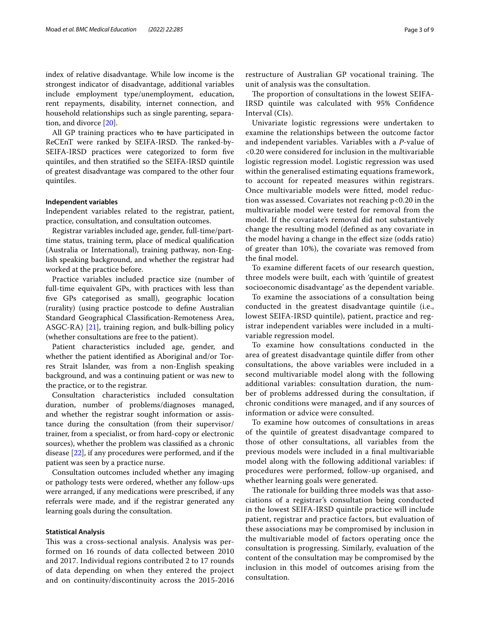index of relative disadvantage. While low income is the strongest indicator of disadvantage, additional variables include employment type/unemployment, education, rent repayments, disability, internet connection, and household relationships such as single parenting, separation, and divorce [[20\]](#page-8-16).

All GP training practices who to have participated in ReCEnT were ranked by SEIFA-IRSD. The ranked-by-SEIFA-IRSD practices were categorized to form fve quintiles, and then stratifed so the SEIFA-IRSD quintile of greatest disadvantage was compared to the other four quintiles.

#### **Independent variables**

Independent variables related to the registrar, patient, practice, consultation, and consultation outcomes.

Registrar variables included age, gender, full-time/parttime status, training term, place of medical qualifcation (Australia or International), training pathway, non-English speaking background, and whether the registrar had worked at the practice before.

Practice variables included practice size (number of full-time equivalent GPs, with practices with less than fve GPs categorised as small), geographic location (rurality) (using practice postcode to defne Australian Standard Geographical Classifcation-Remoteness Area, ASGC-RA) [[21\]](#page-8-17), training region, and bulk-billing policy (whether consultations are free to the patient).

Patient characteristics included age, gender, and whether the patient identifed as Aboriginal and/or Torres Strait Islander, was from a non-English speaking background, and was a continuing patient or was new to the practice, or to the registrar.

Consultation characteristics included consultation duration, number of problems/diagnoses managed, and whether the registrar sought information or assistance during the consultation (from their supervisor/ trainer, from a specialist, or from hard-copy or electronic sources), whether the problem was classifed as a chronic disease [\[22](#page-8-18)], if any procedures were performed, and if the patient was seen by a practice nurse.

Consultation outcomes included whether any imaging or pathology tests were ordered, whether any follow-ups were arranged, if any medications were prescribed, if any referrals were made, and if the registrar generated any learning goals during the consultation.

#### **Statistical Analysis**

This was a cross-sectional analysis. Analysis was performed on 16 rounds of data collected between 2010 and 2017. Individual regions contributed 2 to 17 rounds of data depending on when they entered the project and on continuity/discontinuity across the 2015-2016 restructure of Australian GP vocational training. The unit of analysis was the consultation.

The proportion of consultations in the lowest SEIFA-IRSD quintile was calculated with 95% Confdence Interval (CIs).

Univariate logistic regressions were undertaken to examine the relationships between the outcome factor and independent variables. Variables with a *P*-value of <0.20 were considered for inclusion in the multivariable logistic regression model. Logistic regression was used within the generalised estimating equations framework, to account for repeated measures within registrars. Once multivariable models were ftted, model reduction was assessed. Covariates not reaching p<0.20 in the multivariable model were tested for removal from the model. If the covariate's removal did not substantively change the resulting model (defned as any covariate in the model having a change in the efect size (odds ratio) of greater than 10%), the covariate was removed from the fnal model.

To examine diferent facets of our research question, three models were built, each with 'quintile of greatest socioeconomic disadvantage' as the dependent variable.

To examine the associations of a consultation being conducted in the greatest disadvantage quintile (i.e., lowest SEIFA-IRSD quintile), patient, practice and registrar independent variables were included in a multivariable regression model.

To examine how consultations conducted in the area of greatest disadvantage quintile difer from other consultations, the above variables were included in a second multivariable model along with the following additional variables: consultation duration, the number of problems addressed during the consultation, if chronic conditions were managed, and if any sources of information or advice were consulted.

To examine how outcomes of consultations in areas of the quintile of greatest disadvantage compared to those of other consultations, all variables from the previous models were included in a fnal multivariable model along with the following additional variables: if procedures were performed, follow-up organised, and whether learning goals were generated.

The rationale for building three models was that associations of a registrar's consultation being conducted in the lowest SEIFA-IRSD quintile practice will include patient, registrar and practice factors, but evaluation of these associations may be compromised by inclusion in the multivariable model of factors operating once the consultation is progressing. Similarly, evaluation of the content of the consultation may be compromised by the inclusion in this model of outcomes arising from the consultation.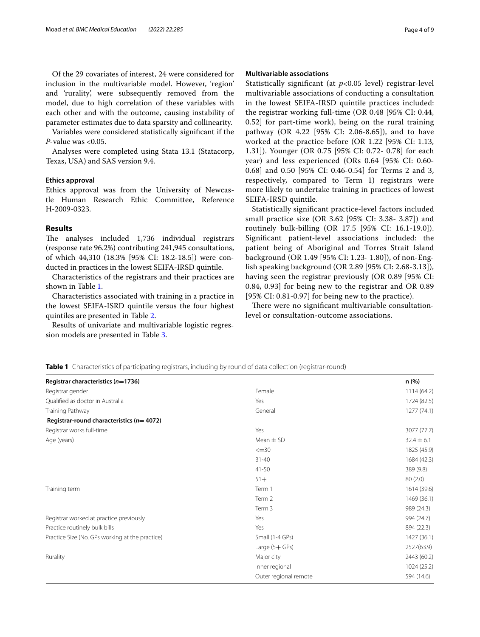Of the 29 covariates of interest, 24 were considered for inclusion in the multivariable model. However, 'region' and 'rurality', were subsequently removed from the model, due to high correlation of these variables with each other and with the outcome, causing instability of parameter estimates due to data sparsity and collinearity.

Variables were considered statistically signifcant if the *P*-value was <0.05.

Analyses were completed using Stata 13.1 (Statacorp, Texas, USA) and SAS version 9.4.

# **Ethics approval**

Ethics approval was from the University of Newcastle Human Research Ethic Committee, Reference H-2009-0323.

# **Results**

The analyses included 1,736 individual registrars (response rate 96.2%) contributing 241,945 consultations, of which 44,310 (18.3% [95% CI: 18.2-18.5]) were conducted in practices in the lowest SEIFA-IRSD quintile.

Characteristics of the registrars and their practices are shown in Table [1.](#page-3-0)

Characteristics associated with training in a practice in the lowest SEIFA-ISRD quintile versus the four highest quintiles are presented in Table [2.](#page-4-0)

Results of univariate and multivariable logistic regression models are presented in Table [3](#page-6-0).

## **Multivariable associations**

Statistically signifcant (at *p*<0.05 level) registrar-level multivariable associations of conducting a consultation in the lowest SEIFA-IRSD quintile practices included: the registrar working full-time (OR 0.48 [95% CI: 0.44, 0.52] for part-time work), being on the rural training pathway (OR 4.22 [95% CI: 2.06-8.65]), and to have worked at the practice before (OR 1.22 [95% CI: 1.13, 1.31]). Younger (OR 0.75 [95% CI: 0.72- 0.78] for each year) and less experienced (ORs 0.64 [95% CI: 0.60- 0.68] and 0.50 [95% CI: 0.46-0.54] for Terms 2 and 3, respectively, compared to Term 1) registrars were more likely to undertake training in practices of lowest SEIFA-IRSD quintile.

Statistically signifcant practice-level factors included small practice size (OR 3.62 [95% CI: 3.38- 3.87]) and routinely bulk-billing (OR 17.5 [95% CI: 16.1-19.0]). Signifcant patient-level associations included: the patient being of Aboriginal and Torres Strait Island background (OR 1.49 [95% CI: 1.23- 1.80]), of non-English speaking background (OR 2.89 [95% CI: 2.68-3.13]), having seen the registrar previously (OR 0.89 [95% CI: 0.84, 0.93] for being new to the registrar and OR 0.89 [95% CI: 0.81-0.97] for being new to the practice).

There were no significant multivariable consultationlevel or consultation-outcome associations.

<span id="page-3-0"></span>

|  |  |  |  |  | Table 1 Characteristics of participating registrars, including by round of data collection (registrar-round) |  |
|--|--|--|--|--|--------------------------------------------------------------------------------------------------------------|--|
|--|--|--|--|--|--------------------------------------------------------------------------------------------------------------|--|

| Registrar characteristics (n=1736)              |                       | n(%)           |
|-------------------------------------------------|-----------------------|----------------|
| Registrar gender                                | Female                | 1114(64.2)     |
| Qualified as doctor in Australia                | Yes                   | 1724 (82.5)    |
| Training Pathway                                | General               | 1277(74.1)     |
| Registrar-round characteristics ( $n=4072$ )    |                       |                |
| Registrar works full-time                       | Yes                   | 3077 (77.7)    |
| Age (years)                                     | Mean $\pm$ SD         | $32.4 \pm 6.1$ |
|                                                 | $\leq$ = 30           | 1825 (45.9)    |
|                                                 | $31 - 40$             | 1684 (42.3)    |
|                                                 | $41 - 50$             | 389 (9.8)      |
|                                                 | $51+$                 | 80(2.0)        |
| Training term                                   | Term 1                | 1614 (39.6)    |
|                                                 | Term 2                | 1469 (36.1)    |
|                                                 | Term 3                | 989 (24.3)     |
| Registrar worked at practice previously         | Yes                   | 994 (24.7)     |
| Practice routinely bulk bills                   | Yes                   | 894 (22.3)     |
| Practice Size (No. GPs working at the practice) | Small (1-4 GPs)       | 1427 (36.1)    |
|                                                 | Large $(5 + GPs)$     | 2527(63.9)     |
| Rurality                                        | Major city            | 2443 (60.2)    |
|                                                 | Inner regional        | 1024 (25.2)    |
|                                                 | Outer regional remote | 594 (14.6)     |
|                                                 |                       |                |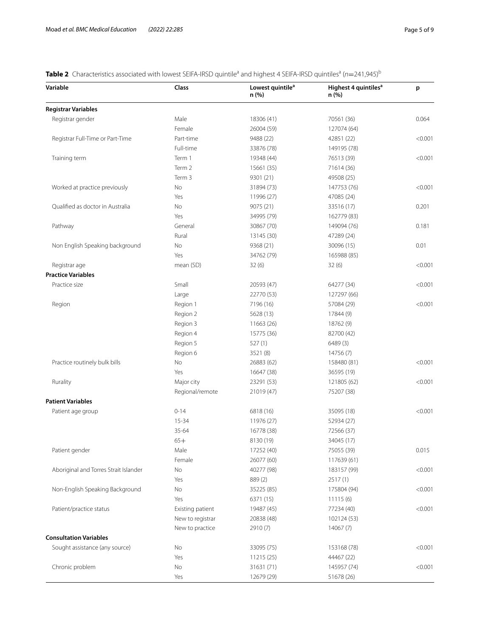# <span id="page-4-0"></span>**Table 2** Characteristics associated with lowest SEIFA-IRSD quintile<sup>a</sup> and highest 4 SEIFA-IRSD quintiles<sup>a</sup> (n=241,945)<sup>b</sup>

| Variable                              | Class            | Lowest quintile <sup>a</sup><br>n (%) | Highest 4 quintiles <sup>a</sup><br>n (%) | p       |
|---------------------------------------|------------------|---------------------------------------|-------------------------------------------|---------|
| <b>Registrar Variables</b>            |                  |                                       |                                           |         |
| Registrar gender                      | Male             | 18306 (41)                            | 70561 (36)                                | 0.064   |
|                                       | Female           | 26004 (59)                            | 127074 (64)                               |         |
| Registrar Full-Time or Part-Time      | Part-time        | 9488 (22)                             | 42851 (22)                                | < 0.001 |
|                                       | Full-time        | 33876 (78)                            | 149195 (78)                               |         |
| Training term                         | Term 1           | 19348 (44)                            | 76513 (39)                                | < 0.001 |
|                                       | Term 2           | 15661 (35)                            | 71614 (36)                                |         |
|                                       | Term 3           | 9301 (21)                             | 49508 (25)                                |         |
| Worked at practice previously         | No               | 31894 (73)                            | 147753 (76)                               | < 0.001 |
|                                       | Yes              | 11996 (27)                            | 47085 (24)                                |         |
| Qualified as doctor in Australia      | No               | 9075 (21)                             | 33516 (17)                                | 0.201   |
|                                       | Yes              | 34995 (79)                            | 162779 (83)                               |         |
| Pathway                               | General          | 30867 (70)                            | 149094 (76)                               | 0.181   |
|                                       | Rural            | 13145 (30)                            | 47289 (24)                                |         |
| Non English Speaking background       | No               | 9368 (21)                             | 30096 (15)                                | 0.01    |
|                                       | Yes              | 34762 (79)                            | 165988 (85)                               |         |
| Registrar age                         | mean (SD)        | 32(6)                                 | 32(6)                                     | < 0.001 |
| <b>Practice Variables</b>             |                  |                                       |                                           |         |
| Practice size                         | Small            | 20593 (47)                            | 64277 (34)                                | < 0.001 |
|                                       | Large            | 22770 (53)                            | 127297 (66)                               |         |
| Region                                | Region 1         | 7196 (16)                             | 57084 (29)                                | < 0.001 |
|                                       | Region 2         | 5628 (13)                             | 17844 (9)                                 |         |
|                                       | Region 3         | 11663 (26)                            | 18762 (9)                                 |         |
|                                       | Region 4         | 15775 (36)                            | 82700 (42)                                |         |
|                                       | Region 5         | 527(1)                                | 6489 (3)                                  |         |
|                                       | Region 6         | 3521 (8)                              | 14756 (7)                                 |         |
| Practice routinely bulk bills         | No               | 26883 (62)                            | 158480 (81)                               | < 0.001 |
|                                       | Yes              | 16647 (38)                            | 36595 (19)                                |         |
| Rurality                              | Major city       | 23291 (53)                            | 121805 (62)                               | < 0.001 |
|                                       | Regional/remote  | 21019 (47)                            | 75207 (38)                                |         |
| <b>Patient Variables</b>              |                  |                                       |                                           |         |
| Patient age group                     | $0 - 14$         | 6818 (16)                             | 35095 (18)                                | < 0.001 |
|                                       | 15-34            | 11976 (27)                            | 52934 (27)                                |         |
|                                       | $35 - 64$        | 16778 (38)                            | 72566 (37)                                |         |
|                                       | $65+$            | 8130 (19)                             | 34045 (17)                                |         |
| Patient gender                        | Male             | 17252 (40)                            | 75055 (39)                                | 0.015   |
|                                       | Female           | 26077 (60)                            | 117639 (61)                               |         |
| Aboriginal and Torres Strait Islander | No               | 40277 (98)                            | 183157 (99)                               | < 0.001 |
|                                       | Yes              | 889(2)                                | 2517(1)                                   |         |
| Non-English Speaking Background       | No               | 35225 (85)                            | 175804 (94)                               | < 0.001 |
|                                       | Yes              | 6371 (15)                             | 11115(6)                                  |         |
| Patient/practice status               | Existing patient | 19487 (45)                            | 77234 (40)                                | < 0.001 |
|                                       | New to registrar | 20838 (48)                            | 102124 (53)                               |         |
|                                       | New to practice  | 2910 (7)                              | 14067 (7)                                 |         |
| <b>Consultation Variables</b>         |                  |                                       |                                           |         |
| Sought assistance (any source)        | No               | 33095 (75)                            | 153168 (78)                               | < 0.001 |
|                                       | Yes              | 11215 (25)                            | 44467 (22)                                |         |
| Chronic problem                       | No               | 31631 (71)                            | 145957 (74)                               | < 0.001 |
|                                       | Yes              | 12679 (29)                            | 51678 (26)                                |         |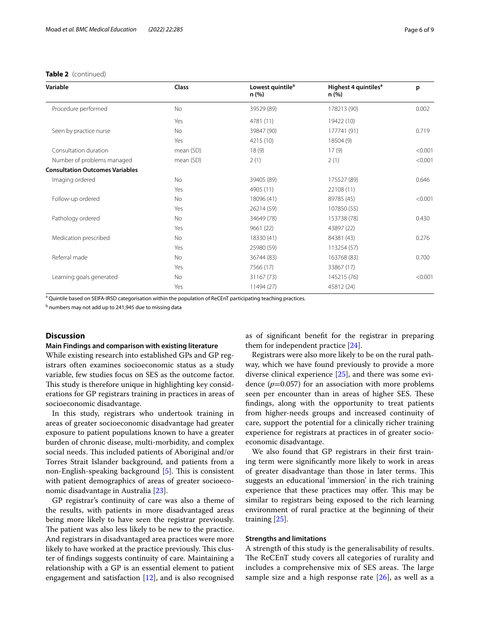## **Table 2** (continued)

| Variable                               | Class     | Lowest quintile <sup>a</sup><br>n (%) | Highest 4 quintiles <sup>a</sup><br>n (%) | p       |
|----------------------------------------|-----------|---------------------------------------|-------------------------------------------|---------|
| Procedure performed                    | <b>No</b> | 39529 (89)                            | 178213 (90)                               | 0.002   |
|                                        | Yes       | 4781 (11)                             | 19422 (10)                                |         |
| Seen by practice nurse                 | <b>No</b> | 39847 (90)                            | 177741 (91)                               | 0.719   |
|                                        | Yes       | 4215 (10)                             | 18504 (9)                                 |         |
| Consultation duration                  | mean (SD) | 18(9)                                 | 17(9)                                     | < 0.001 |
| Number of problems managed             | mean (SD) | 2(1)                                  | 2(1)                                      | < 0.001 |
| <b>Consultation Outcomes Variables</b> |           |                                       |                                           |         |
| Imaging ordered                        | <b>No</b> | 39405 (89)                            | 175527 (89)                               | 0.646   |
|                                        | Yes       | 4905 (11)                             | 22108 (11)                                |         |
| Follow-up ordered                      | <b>No</b> | 18096 (41)                            | 89785 (45)                                | < 0.001 |
|                                        | Yes       | 26214 (59)                            | 107850 (55)                               |         |
| Pathology ordered                      | <b>No</b> | 34649 (78)                            | 153738 (78)                               | 0.430   |
|                                        | Yes       | 9661 (22)                             | 43897 (22)                                |         |
| Medication prescribed                  | <b>No</b> | 18330 (41)                            | 84381 (43)                                | 0.276   |
|                                        | Yes       | 25980 (59)                            | 113254 (57)                               |         |
| Referral made                          | No        | 36744 (83)                            | 163768 (83)                               | 0.700   |
|                                        | Yes       | 7566 (17)                             | 33867 (17)                                |         |
| Learning goals generated               | No        | 31167 (73)                            | 145215 (76)                               | < 0.001 |
|                                        | Yes       | 11494 (27)                            | 45812 (24)                                |         |

a Quintile based on SEIFA-IRSD categorisation within the population of ReCEnT participating teaching practices.

<sup>b</sup> numbers may not add up to 241,945 due to missing data

# **Discussion**

# **Main Findings and comparison with existing literature**

While existing research into established GPs and GP registrars often examines socioeconomic status as a study variable, few studies focus on SES as the outcome factor. This study is therefore unique in highlighting key considerations for GP registrars training in practices in areas of socioeconomic disadvantage.

In this study, registrars who undertook training in areas of greater socioeconomic disadvantage had greater exposure to patient populations known to have a greater burden of chronic disease, multi-morbidity, and complex social needs. This included patients of Aboriginal and/or Torres Strait Islander background, and patients from a non-English-speaking background  $[5]$  $[5]$ . This is consistent with patient demographics of areas of greater socioeconomic disadvantage in Australia [\[23\]](#page-8-19).

GP registrar's continuity of care was also a theme of the results, with patients in more disadvantaged areas being more likely to have seen the registrar previously. The patient was also less likely to be new to the practice. And registrars in disadvantaged area practices were more likely to have worked at the practice previously. This cluster of fndings suggests continuity of care. Maintaining a relationship with a GP is an essential element to patient engagement and satisfaction [\[12](#page-8-7)], and is also recognised as of signifcant beneft for the registrar in preparing them for independent practice [\[24](#page-8-20)].

Registrars were also more likely to be on the rural pathway, which we have found previously to provide a more diverse clinical experience [\[25](#page-8-21)], and there was some evidence  $(p=0.057)$  for an association with more problems seen per encounter than in areas of higher SES. These fndings, along with the opportunity to treat patients from higher-needs groups and increased continuity of care, support the potential for a clinically richer training experience for registrars at practices in of greater socioeconomic disadvantage.

We also found that GP registrars in their frst training term were signifcantly more likely to work in areas of greater disadvantage than those in later terms. This suggests an educational 'immersion' in the rich training experience that these practices may offer. This may be similar to registrars being exposed to the rich learning environment of rural practice at the beginning of their training [[25](#page-8-21)].

## **Strengths and limitations**

A strength of this study is the generalisability of results. The ReCEnT study covers all categories of rurality and includes a comprehensive mix of SES areas. The large sample size and a high response rate  $[26]$  $[26]$ , as well as a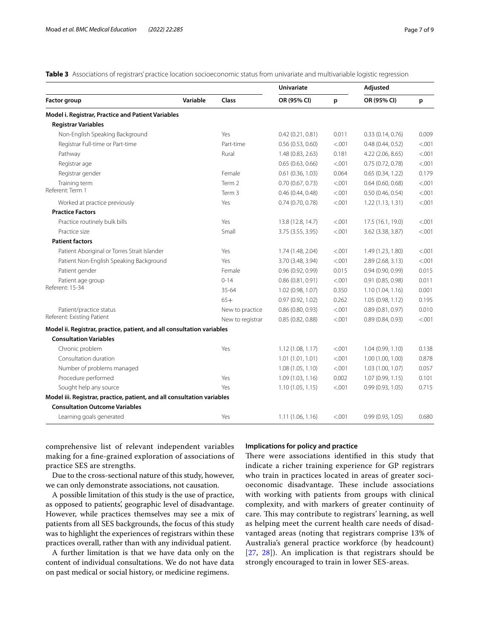<span id="page-6-0"></span>**Table 3** Associations of registrars' practice location socioeconomic status from univariate and multivariable logistic regression

|                                                                         |          |                  | <b>Univariate</b> |         | Adjusted            |        |
|-------------------------------------------------------------------------|----------|------------------|-------------------|---------|---------------------|--------|
| <b>Factor group</b>                                                     | Variable | Class            | OR (95% CI)       | p       | OR (95% CI)         | p      |
| Model i. Registrar, Practice and Patient Variables                      |          |                  |                   |         |                     |        |
| <b>Registrar Variables</b>                                              |          |                  |                   |         |                     |        |
| Non-English Speaking Background                                         |          | Yes              | 0.42(0.21, 0.81)  | 0.011   | 0.33(0.14, 0.76)    | 0.009  |
| Registrar Full-time or Part-time                                        |          | Part-time        | 0.56(0.53, 0.60)  | < .001  | 0.48(0.44, 0.52)    | < .001 |
| Pathway                                                                 |          | Rural            | 1.48 (0.83, 2.63) | 0.181   | 4.22 (2.06, 8.65)   | < .001 |
| Registrar age                                                           |          |                  | 0.65(0.63, 0.66)  | < .001  | 0.75(0.72, 0.78)    | < .001 |
| Registrar gender                                                        |          | Female           | 0.61(0.36, 1.03)  | 0.064   | 0.65(0.34, 1.22)    | 0.179  |
| Training term                                                           |          | Term 2           | 0.70(0.67, 0.73)  | < .001  | $0.64$ (0.60, 0.68) | < .001 |
| Referent: Term 1                                                        |          | Term 3           | 0.46(0.44, 0.48)  | < .001  | 0.50(0.46, 0.54)    | < .001 |
| Worked at practice previously                                           |          | Yes              | 0.74(0.70, 0.78)  | < .001  | 1.22(1.13, 1.31)    | < .001 |
| <b>Practice Factors</b>                                                 |          |                  |                   |         |                     |        |
| Practice routinely bulk bills                                           |          | Yes              | 13.8 (12.8, 14.7) | < .001  | 17.5 (16.1, 19.0)   | < .001 |
| Practice size                                                           |          | Small            | 3.75 (3.55, 3.95) | < .001  | 3.62 (3.38, 3.87)   | < .001 |
| <b>Patient factors</b>                                                  |          |                  |                   |         |                     |        |
| Patient Aboriginal or Torres Strait Islander                            |          | Yes              | 1.74 (1.48, 2.04) | < .001  | 1.49 (1.23, 1.80)   | < .001 |
| Patient Non-English Speaking Background                                 |          | Yes              | 3.70 (3.48, 3.94) | < .001  | 2.89 (2.68, 3.13)   | < .001 |
| Patient gender                                                          |          | Female           | 0.96(0.92, 0.99)  | 0.015   | 0.94(0.90, 0.99)    | 0.015  |
| Patient age group                                                       |          | $0 - 14$         | 0.86(0.81, 0.91)  | < .001  | 0.91(0.85, 0.98)    | 0.011  |
| Referent: 15-34                                                         |          | 35-64            | 1.02 (0.98, 1.07) | 0.350   | 1.10(1.04, 1.16)    | 0.001  |
|                                                                         |          | $65+$            | 0.97(0.92, 1.02)  | 0.262   | 1.05(0.98, 1.12)    | 0.195  |
| Patient/practice status                                                 |          | New to practice  | 0.86(0.80, 0.93)  | < .001  | 0.89(0.81, 0.97)    | 0.010  |
| Referent: Existing Patient                                              |          | New to registrar | 0.85 (0.82, 0.88) | < .001  | 0.89(0.84, 0.93)    | < .001 |
| Model ii. Registrar, practice, patient, and all consultation variables  |          |                  |                   |         |                     |        |
| <b>Consultation Variables</b>                                           |          |                  |                   |         |                     |        |
| Chronic problem                                                         |          | Yes              | 1.12(1.08, 1.17)  | < 0.001 | 1.04 (0.99, 1.10)   | 0.138  |
| Consultation duration                                                   |          |                  | 1.01(1.01, 1.01)  | < .001  | 1.00(1.00, 1.00)    | 0.878  |
| Number of problems managed                                              |          |                  | 1.08(1.05, 1.10)  | < .001  | 1.03 (1.00, 1.07)   | 0.057  |
| Procedure performed                                                     |          | Yes              | 1.09(1.03, 1.16)  | 0.002   | 1.07(0.99, 1.15)    | 0.101  |
| Sought help any source                                                  |          | Yes              | 1.10(1.05, 1.15)  | < .001  | 0.99(0.93, 1.05)    | 0.715  |
| Model iii. Registrar, practice, patient, and all consultation variables |          |                  |                   |         |                     |        |
| <b>Consultation Outcome Variables</b>                                   |          |                  |                   |         |                     |        |
| Learning goals generated                                                |          | Yes              | 1.11(1.06, 1.16)  | < .001  | 0.99(0.93, 1.05)    | 0.680  |

comprehensive list of relevant independent variables making for a fne-grained exploration of associations of practice SES are strengths.

Due to the cross-sectional nature of this study, however, we can only demonstrate associations, not causation.

A possible limitation of this study is the use of practice, as opposed to patients', geographic level of disadvantage. However, while practices themselves may see a mix of patients from all SES backgrounds, the focus of this study was to highlight the experiences of registrars within these practices overall, rather than with any individual patient.

A further limitation is that we have data only on the content of individual consultations. We do not have data on past medical or social history, or medicine regimens.

#### **Implications for policy and practice**

There were associations identified in this study that indicate a richer training experience for GP registrars who train in practices located in areas of greater socioeconomic disadvantage. These include associations with working with patients from groups with clinical complexity, and with markers of greater continuity of care. This may contribute to registrars' learning, as well as helping meet the current health care needs of disadvantaged areas (noting that registrars comprise 13% of Australia's general practice workforce (by headcount) [[27](#page-8-23), [28](#page-8-24)]). An implication is that registrars should be strongly encouraged to train in lower SES-areas.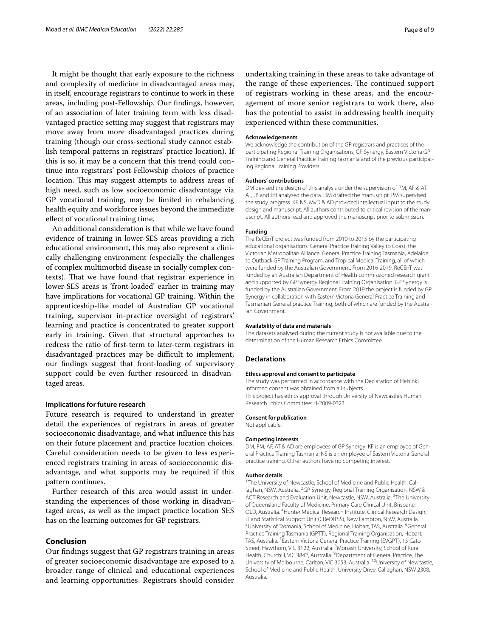It might be thought that early exposure to the richness and complexity of medicine in disadvantaged areas may, in itself, encourage registrars to continue to work in these areas, including post-Fellowship. Our fndings, however, of an association of later training term with less disadvantaged practice setting may suggest that registrars may move away from more disadvantaged practices during training (though our cross-sectional study cannot establish temporal patterns in registrars' practice location). If this is so, it may be a concern that this trend could continue into registrars' post-Fellowship choices of practice location. This may suggest attempts to address areas of high need, such as low socioeconomic disadvantage via GP vocational training, may be limited in rebalancing health equity and workforce issues beyond the immediate efect of vocational training time.

An additional consideration is that while we have found evidence of training in lower-SES areas providing a rich educational environment, this may also represent a clinically challenging environment (especially the challenges of complex multimorbid disease in socially complex contexts). That we have found that registrar experience in lower-SES areas is 'front-loaded' earlier in training may have implications for vocational GP training. Within the apprenticeship-like model of Australian GP vocational training, supervisor in-practice oversight of registrars' learning and practice is concentrated to greater support early in training. Given that structural approaches to redress the ratio of frst-term to later-term registrars in disadvantaged practices may be difficult to implement, our fndings suggest that front-loading of supervisory support could be even further resourced in disadvantaged areas.

#### **Implications for future research**

Future research is required to understand in greater detail the experiences of registrars in areas of greater socioeconomic disadvantage, and what infuence this has on their future placement and practice location choices. Careful consideration needs to be given to less experienced registrars training in areas of socioeconomic disadvantage, and what supports may be required if this pattern continues.

Further research of this area would assist in understanding the experiences of those working in disadvantaged areas, as well as the impact practice location SES has on the learning outcomes for GP registrars.

#### **Conclusion**

Our fndings suggest that GP registrars training in areas of greater socioeconomic disadvantage are exposed to a broader range of clinical and educational experiences and learning opportunities. Registrars should consider undertaking training in these areas to take advantage of the range of these experiences. The continued support of registrars working in these areas, and the encouragement of more senior registrars to work there, also has the potential to assist in addressing health inequity experienced within these communities.

#### **Acknowledgements**

We acknowledge the contribution of the GP registrars and practices of the participating Regional Training Organisations, GP Synergy, Eastern Victoria GP Training and General Practice Training Tasmania and of the previous participating Regional Training Providers.

#### **Authors' contributions**

DM devised the design of this analysis under the supervision of PM, AF & AT. AT, JB and EH analysed the data. DM drafted the manuscript. PM supervised the study progress. KF, NS, MvD & AD provided intellectual input to the study design and manuscript. All authors contributed to critical revision of the manuscript. All authors read and approved the manuscript prior to submission.

#### **Funding**

The ReCEnT project was funded from 2010 to 2015 by the participating educational organisations: General Practice Training Valley to Coast, the Victorian Metropolitan Alliance, General Practice Training Tasmania, Adelaide to Outback GP Training Program, and Tropical Medical Training, all of which were funded by the Australian Government. From 2016-2019, ReCEnT was funded by an Australian Department of Health commissioned research grant and supported by GP Synergy Regional Training Organisation. GP Synergy is funded by the Australian Government. From 2019 the project is funded by GP Synergy in collaboration with Eastern Victoria General Practice Training and Tasmanian General practice Training, both of which are funded by the Australian Government.

#### **Availability of data and materials**

The datasets analysed during the current study is not available due to the determination of the Human Research Ethics Committee.

#### **Declarations**

#### **Ethics approval and consent to participate**

The study was performed in accordance with the Declaration of Helsinki. Informed consent was obtained from all subjects. This project has ethics approval through University of Newcastle's Human Research Ethics Committee: H-2009-0323.

#### **Consent for publication**

Not applicable.

#### **Competing interests**

DM, PM, AF, AT & AD are employees of GP Synergy; KF is an employee of General Practice Training Tasmania; NS is an employee of Eastern Victoria General practice training. Other authors have no competing interest.

#### **Author details**

<sup>1</sup>The University of Newcastle, School of Medicine and Public Health, Callaghan, NSW, Australia. <sup>2</sup>GP Synergy, Regional Training Organisation, NSW & ACT Research and Evaluation Unit, Newcastle, NSW, Australia. <sup>3</sup>The University of Queensland Faculty of Medicine, Primary Care Clinical Unit, Brisbane, QLD, Australia. <sup>4</sup> Hunter Medical Research Institute, Clinical Research Design, IT and Statistical Support Unit (CReDITSS), New Lambton, NSW, Australia. University of Tasmania, School of Medicine, Hobart, TAS, Australia. <sup>6</sup>General Practice Training Tasmania (GPTT), Regional Training Organisation, Hobart, TAS, Australia. <sup>7</sup> Eastern Victoria General Practice Training (EVGPT), 15 Cato Street, Hawthorn, VIC 3122, Australia. <sup>8</sup>Monash University, School of Rural Health, Churchill, VIC 3842, Australia. <sup>9</sup> Department of General Practice, The University of Melbourne, Carlton, VIC 3053, Australia. <sup>10</sup>University of Newcastle, School of Medicine and Public Health, University Drive, Callaghan, NSW 2308, Australia.